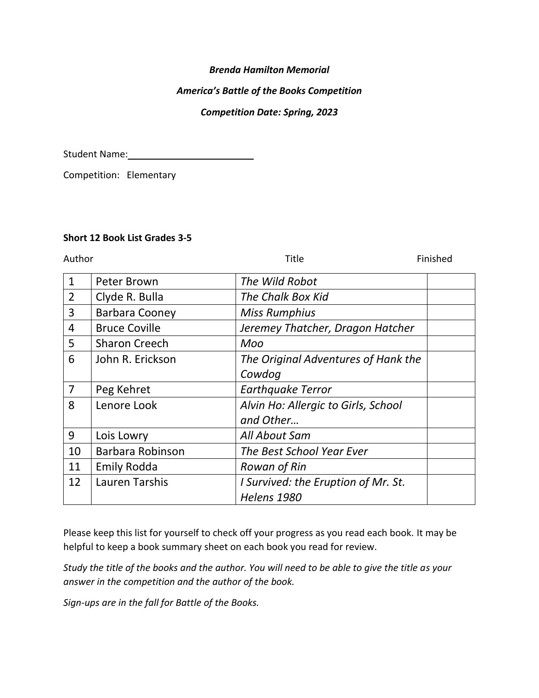## *Brenda Hamilton Memorial*

### *America's Battle of the Books Competition*

#### *Competition Date: Spring, 2023*

Student Name: 1988

Competition: Elementary

# **Short 12 Book List Grades 3-5**

Author **Author Finished** 

| $\mathbf{1}$   | Peter Brown           | The Wild Robot                      |  |
|----------------|-----------------------|-------------------------------------|--|
| $\overline{2}$ | Clyde R. Bulla        | The Chalk Box Kid                   |  |
| 3              | <b>Barbara Cooney</b> | <b>Miss Rumphius</b>                |  |
| 4              | <b>Bruce Coville</b>  | Jeremey Thatcher, Dragon Hatcher    |  |
| 5              | <b>Sharon Creech</b>  | Moo                                 |  |
| 6              | John R. Erickson      | The Original Adventures of Hank the |  |
|                |                       | Cowdog                              |  |
| $\overline{7}$ | Peg Kehret            | <b>Earthquake Terror</b>            |  |
| 8              | Lenore Look           | Alvin Ho: Allergic to Girls, School |  |
|                |                       | and Other                           |  |
| 9              | Lois Lowry            | All About Sam                       |  |
| 10             | Barbara Robinson      | The Best School Year Ever           |  |
| 11             | Emily Rodda           | Rowan of Rin                        |  |
| 12             | <b>Lauren Tarshis</b> | I Survived: the Eruption of Mr. St. |  |
|                |                       | <b>Helens 1980</b>                  |  |

Please keep this list for yourself to check off your progress as you read each book. It may be helpful to keep a book summary sheet on each book you read for review.

*Study the title of the books and the author. You will need to be able to give the title as your answer in the competition and the author of the book.*

*Sign-ups are in the fall for Battle of the Books.*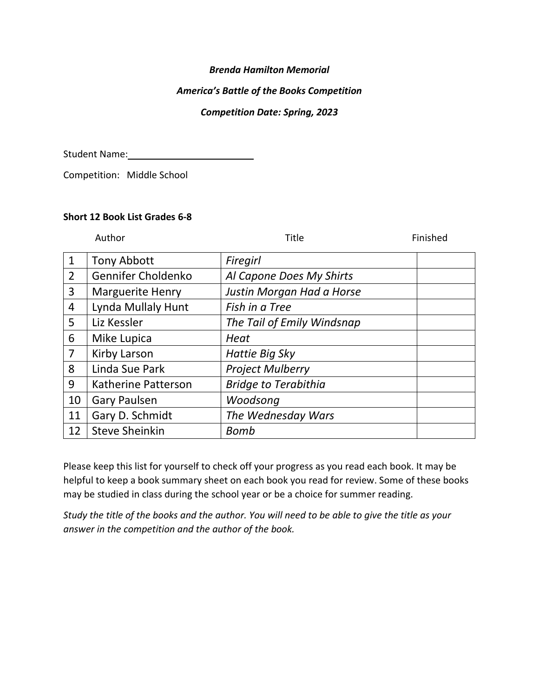# *Brenda Hamilton Memorial*

# *America's Battle of the Books Competition*

## *Competition Date: Spring, 2023*

Student Name: Manual Manual Manual Manual Manual Manual Manual Manual Manual Manual Manual Manual Manual Manual Ma

Competition: Middle School

#### **Short 12 Book List Grades 6-8**

Author **Title Finished** 

| $\mathbf 1$    | <b>Tony Abbott</b>      | Firegirl                    |
|----------------|-------------------------|-----------------------------|
| 2              | Gennifer Choldenko      | Al Capone Does My Shirts    |
| 3              | <b>Marguerite Henry</b> | Justin Morgan Had a Horse   |
| 4              | Lynda Mullaly Hunt      | Fish in a Tree              |
| 5              | Liz Kessler             | The Tail of Emily Windsnap  |
| 6              | Mike Lupica             | Heat                        |
| $\overline{7}$ | Kirby Larson            | <b>Hattie Big Sky</b>       |
| 8              | Linda Sue Park          | <b>Project Mulberry</b>     |
| 9              | Katherine Patterson     | <b>Bridge to Terabithia</b> |
| 10             | <b>Gary Paulsen</b>     | Woodsong                    |
| 11             | Gary D. Schmidt         | The Wednesday Wars          |
| 12             | <b>Steve Sheinkin</b>   | <b>Bomb</b>                 |

Please keep this list for yourself to check off your progress as you read each book. It may be helpful to keep a book summary sheet on each book you read for review. Some of these books may be studied in class during the school year or be a choice for summer reading.

*Study the title of the books and the author. You will need to be able to give the title as your answer in the competition and the author of the book.*